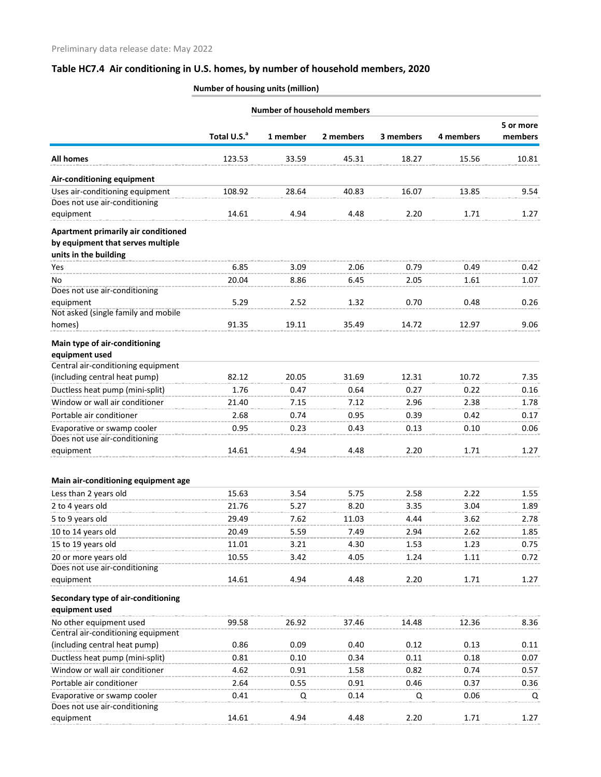|                                                                                                   |                         |          | <b>Number of household members</b> |           |           |                      |
|---------------------------------------------------------------------------------------------------|-------------------------|----------|------------------------------------|-----------|-----------|----------------------|
|                                                                                                   | Total U.S. <sup>a</sup> | 1 member | 2 members                          | 3 members | 4 members | 5 or more<br>members |
| <b>All homes</b>                                                                                  | 123.53                  | 33.59    | 45.31                              | 18.27     | 15.56     | 10.81                |
| Air-conditioning equipment                                                                        |                         |          |                                    |           |           |                      |
| Uses air-conditioning equipment<br>Does not use air-conditioning                                  | 108.92                  | 28.64    | 40.83                              | 16.07     | 13.85     | 9.54                 |
| equipment                                                                                         | 14.61                   | 4.94     | 4.48                               | 2.20      | 1.71      | 1.27                 |
| Apartment primarily air conditioned<br>by equipment that serves multiple<br>units in the building |                         |          |                                    |           |           |                      |
| Yes                                                                                               | 6.85                    | 3.09     | 2.06                               | 0.79      | 0.49      | 0.42                 |
| No                                                                                                | 20.04                   | 8.86     | 6.45                               | 2.05      | 1.61      | 1.07                 |
| Does not use air-conditioning<br>equipment                                                        | 5.29                    | 2.52     | 1.32                               | 0.70      | 0.48      | 0.26                 |
| Not asked (single family and mobile<br>homes)                                                     | 91.35                   | 19.11    | 35.49                              | 14.72     | 12.97     | 9.06                 |
| Main type of air-conditioning<br>equipment used                                                   |                         |          |                                    |           |           |                      |
| Central air-conditioning equipment                                                                |                         |          |                                    |           |           |                      |
| (including central heat pump)                                                                     | 82.12                   | 20.05    | 31.69                              | 12.31     | 10.72     | 7.35                 |
| Ductless heat pump (mini-split)                                                                   | 1.76                    | 0.47     | 0.64                               | 0.27      | 0.22      | 0.16                 |
| Window or wall air conditioner                                                                    | 21.40                   | 7.15     | 7.12                               | 2.96      | 2.38      | 1.78                 |
| Portable air conditioner                                                                          | 2.68                    | 0.74     | 0.95                               | 0.39      | 0.42      | 0.17                 |
| Evaporative or swamp cooler                                                                       | 0.95                    | 0.23     | 0.43                               | 0.13      | 0.10      | 0.06                 |
| Does not use air-conditioning<br>equipment                                                        | 14.61                   | 4.94     | 4.48                               | 2.20      | 1.71      | 1.27                 |
| Main air-conditioning equipment age                                                               |                         |          |                                    |           |           |                      |
| Less than 2 years old                                                                             | 15.63                   | 3.54     | 5.75                               | 2.58      | 2.22      | 1.55                 |
| 2 to 4 years old                                                                                  | 21.76                   | 5.27     | 8.20                               | 3.35      | 3.04      | 1.89                 |
| 5 to 9 years old                                                                                  | 29.49                   | 7.62     | 11.03                              | 4.44      | 3.62      | 2.78                 |
| 10 to 14 years old                                                                                | 20.49                   | 5.59     | 7.49                               | 2.94      | 2.62      | 1.85                 |
| 15 to 19 years old                                                                                | 11.01                   | 3.21     | 4.30                               | 1.53      | 1.23      | 0.75                 |
| 20 or more years old                                                                              | 10.55                   | 3.42     | 4.05                               | 1.24      | 1.11      | 0.72                 |
| Does not use air-conditioning                                                                     |                         |          |                                    |           |           |                      |
| equipment                                                                                         | 14.61                   | 4.94     | 4.48                               | 2.20      | 1.71      | 1.27                 |
| Secondary type of air-conditioning<br>equipment used                                              |                         |          |                                    |           |           |                      |
| No other equipment used                                                                           | 99.58                   | 26.92    | 37.46                              | 14.48     | 12.36     | 8.36                 |
| Central air-conditioning equipment                                                                |                         |          |                                    |           |           |                      |
| (including central heat pump)                                                                     | 0.86                    | 0.09     | 0.40                               | 0.12      | 0.13      | 0.11                 |
| Ductless heat pump (mini-split)                                                                   | 0.81                    | 0.10     | 0.34                               | 0.11      | 0.18      | 0.07                 |
| Window or wall air conditioner                                                                    | 4.62                    | 0.91     | 1.58                               | 0.82      | 0.74      | 0.57                 |
| Portable air conditioner                                                                          | 2.64                    | 0.55     | 0.91                               | 0.46      | 0.37      | 0.36                 |
| Evaporative or swamp cooler<br>Does not use air-conditioning                                      | 0.41                    | Q        | 0.14                               | Q         | 0.06      | Q                    |
| equipment                                                                                         | 14.61                   | 4.94     | 4.48                               | 2.20      | 1.71      | 1.27                 |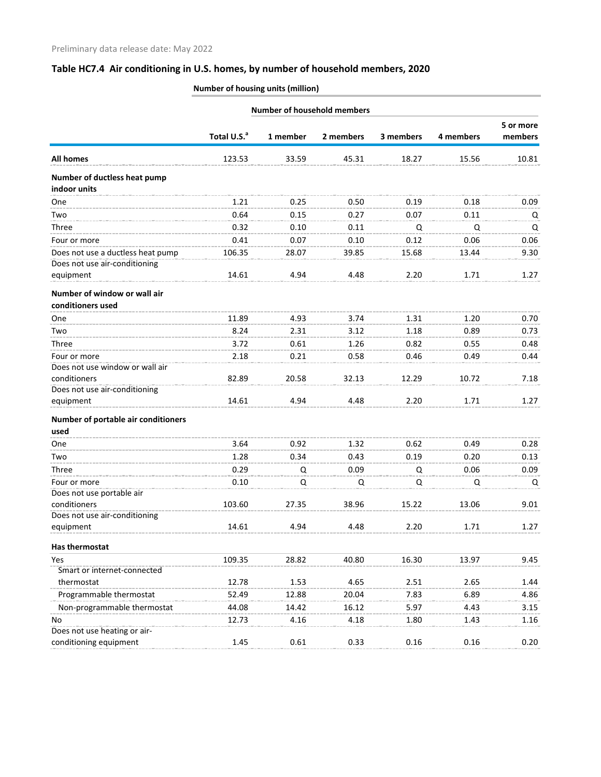|                                                   |                         |          | <b>Number of household members</b> |           |           |                      |
|---------------------------------------------------|-------------------------|----------|------------------------------------|-----------|-----------|----------------------|
|                                                   |                         |          |                                    |           |           | 5 or more<br>members |
|                                                   | Total U.S. <sup>a</sup> | 1 member | 2 members                          | 3 members | 4 members |                      |
| All homes                                         | 123.53                  | 33.59    | 45.31                              | 18.27     | 15.56     | 10.81                |
| Number of ductless heat pump<br>indoor units      |                         |          |                                    |           |           |                      |
| One                                               | 1.21                    | 0.25     | 0.50                               | 0.19      | 0.18      | 0.09                 |
| Two                                               | 0.64                    | 0.15     | 0.27                               | 0.07      | 0.11      | Q                    |
| Three                                             | 0.32                    | 0.10     | 0.11                               | Q         | Q         | Q                    |
| Four or more                                      | 0.41                    | 0.07     | 0.10                               | 0.12      | 0.06      | 0.06                 |
| Does not use a ductless heat pump                 | 106.35                  | 28.07    | 39.85                              | 15.68     | 13.44     | 9.30                 |
| Does not use air-conditioning                     |                         |          |                                    |           |           |                      |
| equipment                                         | 14.61                   | 4.94     | 4.48                               | 2.20      | 1.71      | 1.27                 |
| Number of window or wall air<br>conditioners used |                         |          |                                    |           |           |                      |
| One                                               | 11.89                   | 4.93     | 3.74                               | 1.31      | 1.20      | 0.70                 |
| Two                                               | 8.24                    | 2.31     | 3.12                               | 1.18      | 0.89      | 0.73                 |
| Three                                             | 3.72                    | 0.61     | 1.26                               | 0.82      | 0.55      | 0.48                 |
| Four or more                                      | 2.18                    | 0.21     | 0.58                               | 0.46      | 0.49      | 0.44                 |
| Does not use window or wall air                   |                         |          |                                    |           |           |                      |
| conditioners                                      | 82.89                   | 20.58    | 32.13                              | 12.29     | 10.72     | 7.18                 |
| Does not use air-conditioning                     |                         |          |                                    |           |           |                      |
| equipment                                         | 14.61                   | 4.94     | 4.48                               | 2.20      | 1.71      | 1.27                 |
| Number of portable air conditioners               |                         |          |                                    |           |           |                      |
| used                                              |                         |          |                                    |           |           |                      |
| One                                               | 3.64                    | 0.92     | 1.32                               | 0.62      | 0.49      | 0.28                 |
| Two                                               | 1.28                    | 0.34     | 0.43                               | 0.19      | 0.20      | 0.13                 |
| Three                                             | 0.29                    | Q        | 0.09                               | Q         | 0.06      | 0.09                 |
| Four or more                                      | 0.10                    | Q        | Q                                  | Q         | Q         | Q                    |
| Does not use portable air                         |                         |          |                                    |           |           |                      |
| conditioners                                      | 103.60                  | 27.35    | 38.96                              | 15.22     | 13.06     | 9.01                 |
| Does not use air-conditioning                     |                         |          |                                    |           |           |                      |
| equipment                                         | 14.61                   | 4.94     | 4.48                               | 2.20      | 1.71      | 1.27                 |
| Has thermostat                                    |                         |          |                                    |           |           |                      |
| Yes                                               | 109.35                  | 28.82    | 40.80                              | 16.30     | 13.97     | 9.45                 |
| Smart or internet-connected                       |                         |          |                                    |           |           |                      |
| thermostat                                        | 12.78                   | 1.53     | 4.65                               | 2.51      | 2.65      | 1.44                 |
| Programmable thermostat                           | 52.49                   | 12.88    | 20.04                              | 7.83      | 6.89      | 4.86                 |
| Non-programmable thermostat                       | 44.08                   | 14.42    | 16.12                              | 5.97      | 4.43      | 3.15                 |
| No                                                | 12.73                   | 4.16     | 4.18                               | 1.80      | 1.43      | 1.16                 |
| Does not use heating or air-                      |                         |          |                                    |           |           |                      |
| conditioning equipment                            | 1.45                    | 0.61     | 0.33                               | 0.16      | 0.16      | 0.20                 |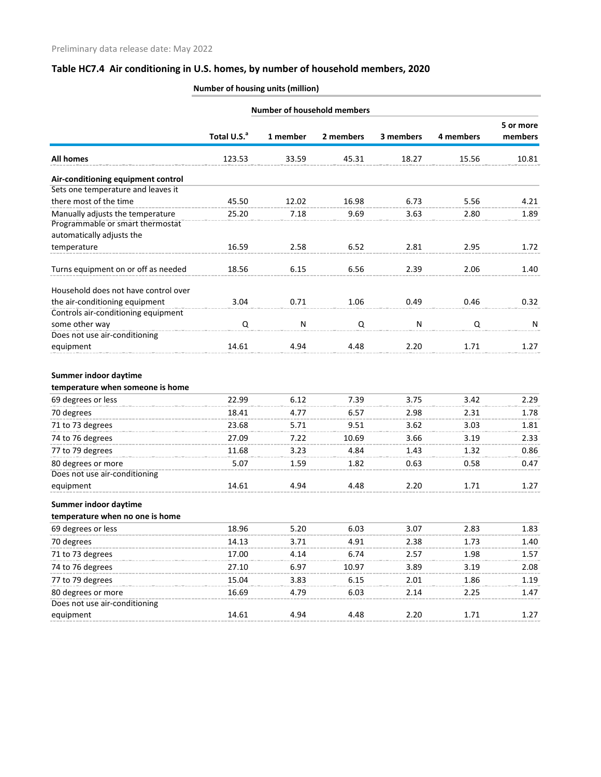|                                                                                                   |                         |          | <b>Number of household members</b> |           |           |                      |
|---------------------------------------------------------------------------------------------------|-------------------------|----------|------------------------------------|-----------|-----------|----------------------|
|                                                                                                   | Total U.S. <sup>a</sup> | 1 member | 2 members                          | 3 members | 4 members | 5 or more<br>members |
| <b>All homes</b>                                                                                  | 123.53                  | 33.59    | 45.31                              | 18.27     | 15.56     | 10.81                |
| Air-conditioning equipment control                                                                |                         |          |                                    |           |           |                      |
| Sets one temperature and leaves it                                                                |                         |          |                                    |           |           |                      |
| there most of the time                                                                            | 45.50                   | 12.02    | 16.98                              | 6.73      | 5.56      | 4.21                 |
| Manually adjusts the temperature<br>Programmable or smart thermostat<br>automatically adjusts the | 25.20                   | 7.18     | 9.69                               | 3.63      | 2.80      | 1.89                 |
| temperature                                                                                       | 16.59                   | 2.58     | 6.52                               | 2.81      | 2.95      | 1.72                 |
| Turns equipment on or off as needed                                                               | 18.56                   | 6.15     | 6.56                               | 2.39      | 2.06      | 1.40                 |
| Household does not have control over                                                              |                         |          |                                    |           |           |                      |
| the air-conditioning equipment                                                                    | 3.04                    | 0.71     | 1.06                               | 0.49      | 0.46      | 0.32                 |
| Controls air-conditioning equipment                                                               |                         |          |                                    |           |           |                      |
| some other way                                                                                    | Q                       | N        | Q                                  | N         | Q         | N                    |
| Does not use air-conditioning<br>equipment                                                        | 14.61                   | 4.94     | 4.48                               | 2.20      | 1.71      | 1.27                 |
| Summer indoor daytime<br>temperature when someone is home                                         |                         |          |                                    |           |           |                      |
| 69 degrees or less                                                                                | 22.99                   | 6.12     | 7.39                               | 3.75      | 3.42      | 2.29                 |
| 70 degrees                                                                                        | 18.41                   | 4.77     | 6.57                               | 2.98      | 2.31      | 1.78                 |
| 71 to 73 degrees                                                                                  | 23.68                   | 5.71     | 9.51                               | 3.62      | 3.03      | 1.81                 |
| 74 to 76 degrees                                                                                  | 27.09                   | 7.22     | 10.69                              | 3.66      | 3.19      | 2.33                 |
| 77 to 79 degrees                                                                                  | 11.68                   | 3.23     | 4.84                               | 1.43      | 1.32      | 0.86                 |
| 80 degrees or more                                                                                | 5.07                    | 1.59     | 1.82                               | 0.63      | 0.58      | 0.47                 |
| Does not use air-conditioning                                                                     |                         |          |                                    |           |           |                      |
| equipment                                                                                         | 14.61                   | 4.94     | 4.48                               | 2.20      | 1.71      | 1.27                 |
| Summer indoor daytime<br>temperature when no one is home                                          |                         |          |                                    |           |           |                      |
| 69 degrees or less                                                                                | 18.96                   | 5.20     | 6.03                               | 3.07      | 2.83      | 1.83                 |
| 70 degrees                                                                                        | 14.13                   | 3.71     | 4.91                               | 2.38      | 1.73      | 1.40                 |
| 71 to 73 degrees                                                                                  | 17.00                   | 4.14     | 6.74                               | 2.57      | 1.98      | 1.57                 |
| 74 to 76 degrees                                                                                  | 27.10                   | 6.97     | 10.97                              | 3.89      | 3.19      | 2.08                 |
| 77 to 79 degrees                                                                                  | 15.04                   | 3.83     | 6.15                               | 2.01      | 1.86      | 1.19                 |
| 80 degrees or more                                                                                | 16.69                   | 4.79     | 6.03                               | 2.14      | 2.25      | 1.47                 |
| Does not use air-conditioning                                                                     |                         |          |                                    |           |           |                      |
| equipment                                                                                         | 14.61                   | 4.94     | 4.48                               | 2.20      | 1.71      | 1.27                 |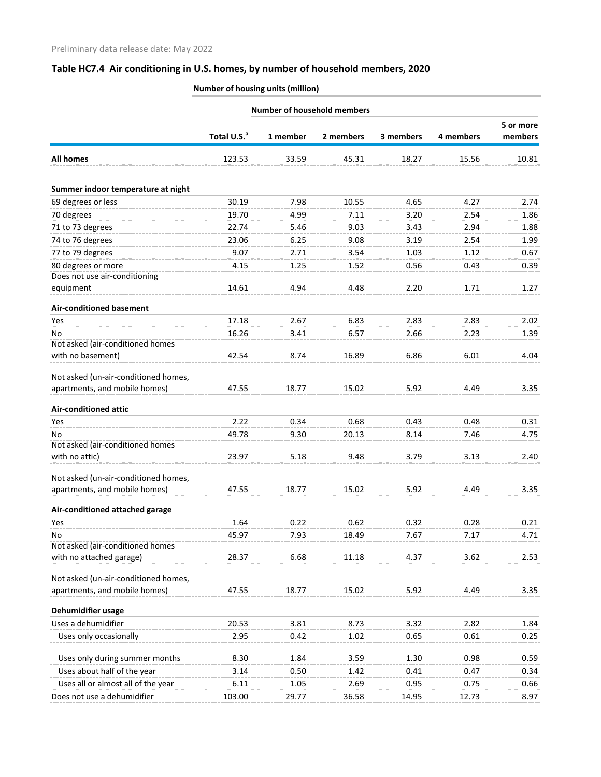| <b>Number of household members</b>   |                         |          |           |           |           |                      |
|--------------------------------------|-------------------------|----------|-----------|-----------|-----------|----------------------|
|                                      | Total U.S. <sup>a</sup> | 1 member | 2 members | 3 members | 4 members | 5 or more<br>members |
|                                      |                         |          |           |           |           |                      |
| <b>All homes</b>                     | 123.53                  | 33.59    | 45.31     | 18.27     | 15.56     | 10.81                |
| Summer indoor temperature at night   |                         |          |           |           |           |                      |
| 69 degrees or less                   | 30.19                   | 7.98     | 10.55     | 4.65      | 4.27      | 2.74                 |
| 70 degrees                           | 19.70                   | 4.99     | 7.11      | 3.20      | 2.54      | 1.86                 |
| 71 to 73 degrees                     | 22.74                   | 5.46     | 9.03      | 3.43      | 2.94      | 1.88                 |
| 74 to 76 degrees                     | 23.06                   | 6.25     | 9.08      | 3.19      | 2.54      | 1.99                 |
| 77 to 79 degrees                     | 9.07                    | 2.71     | 3.54      | 1.03      | 1.12      | 0.67                 |
| 80 degrees or more                   | 4.15                    | 1.25     | 1.52      | 0.56      | 0.43      | 0.39                 |
| Does not use air-conditioning        |                         |          |           |           |           |                      |
| equipment                            | 14.61                   | 4.94     | 4.48      | 2.20      | 1.71      | 1.27                 |
| <b>Air-conditioned basement</b>      |                         |          |           |           |           |                      |
| Yes                                  | 17.18                   | 2.67     | 6.83      | 2.83      | 2.83      | 2.02                 |
| No                                   | 16.26                   | 3.41     | 6.57      | 2.66      | 2.23      | 1.39                 |
| Not asked (air-conditioned homes     |                         |          |           |           |           |                      |
| with no basement)                    | 42.54                   | 8.74     | 16.89     | 6.86      | 6.01      | 4.04                 |
| Not asked (un-air-conditioned homes, |                         |          |           |           |           |                      |
| apartments, and mobile homes)        | 47.55                   | 18.77    | 15.02     | 5.92      | 4.49      | 3.35                 |
| <b>Air-conditioned attic</b>         |                         |          |           |           |           |                      |
| Yes                                  | 2.22                    | 0.34     | 0.68      | 0.43      | 0.48      | 0.31                 |
| No                                   | 49.78                   | 9.30     | 20.13     | 8.14      | 7.46      | 4.75                 |
| Not asked (air-conditioned homes     |                         |          |           |           |           |                      |
| with no attic)                       | 23.97                   | 5.18     | 9.48      | 3.79      | 3.13      | 2.40                 |
| Not asked (un-air-conditioned homes, |                         |          |           |           |           |                      |
| apartments, and mobile homes)        | 47.55                   | 18.77    | 15.02     | 5.92      | 4.49      | 3.35                 |
| Air-conditioned attached garage      |                         |          |           |           |           |                      |
| Yes                                  | 1.64                    | 0.22     | 0.62      | 0.32      | 0.28      | 0.21                 |
| No                                   | 45.97                   | 7.93     | 18.49     | 7.67      | 7.17      | 4.71                 |
| Not asked (air-conditioned homes     |                         |          |           |           |           |                      |
| with no attached garage)             | 28.37                   | 6.68     | 11.18     | 4.37      | 3.62      | 2.53                 |
| Not asked (un-air-conditioned homes, |                         |          |           |           |           |                      |
| apartments, and mobile homes)        | 47.55                   | 18.77    | 15.02     | 5.92      | 4.49      | 3.35                 |
| Dehumidifier usage                   |                         |          |           |           |           |                      |
| Uses a dehumidifier                  | 20.53                   | 3.81     | 8.73      | 3.32      | 2.82      | 1.84                 |
| Uses only occasionally               | 2.95                    | 0.42     | 1.02      | 0.65      | 0.61      | 0.25                 |
|                                      |                         |          |           |           |           |                      |
| Uses only during summer months       | 8.30                    | 1.84     | 3.59      | 1.30      | 0.98      | 0.59                 |
| Uses about half of the year          | 3.14                    | 0.50     | 1.42      | 0.41      | 0.47      | 0.34                 |
| Uses all or almost all of the year   | 6.11                    | 1.05     | 2.69      | 0.95      | 0.75      | 0.66                 |
| Does not use a dehumidifier          | 103.00                  | 29.77    | 36.58     | 14.95     | 12.73     | 8.97                 |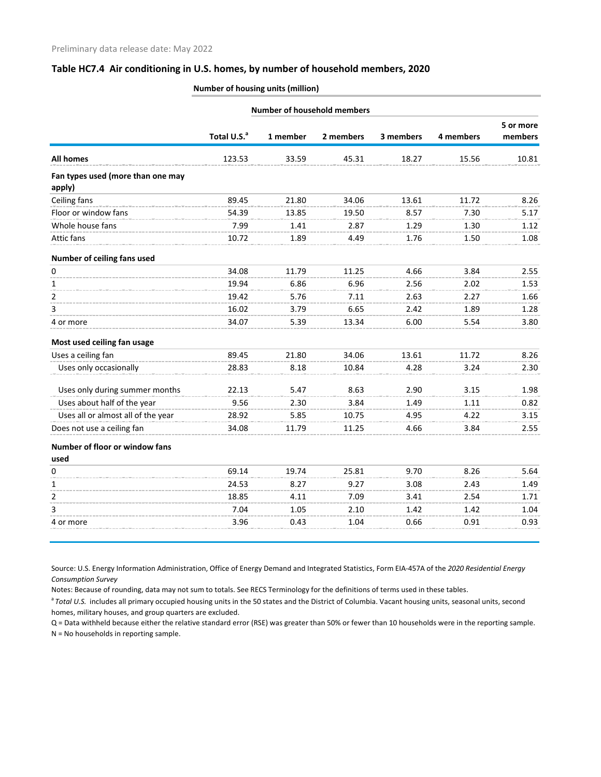### **Number of housing units (million)**

|                                             |                         | <b>Number of household members</b> |           |           |           |                      |
|---------------------------------------------|-------------------------|------------------------------------|-----------|-----------|-----------|----------------------|
|                                             | Total U.S. <sup>a</sup> | 1 member                           | 2 members | 3 members | 4 members | 5 or more<br>members |
| <b>All homes</b>                            | 123.53                  | 33.59                              | 45.31     | 18.27     | 15.56     | 10.81                |
| Fan types used (more than one may<br>apply) |                         |                                    |           |           |           |                      |
| Ceiling fans                                | 89.45                   | 21.80                              | 34.06     | 13.61     | 11.72     | 8.26                 |
| Floor or window fans                        | 54.39                   | 13.85                              | 19.50     | 8.57      | 7.30      | 5.17                 |
| Whole house fans                            | 7.99                    | 1.41                               | 2.87      | 1.29      | 1.30      | 1.12                 |
| Attic fans                                  | 10.72                   | 1.89                               | 4.49      | 1.76      | 1.50      | 1.08                 |
| Number of ceiling fans used                 |                         |                                    |           |           |           |                      |
| $\pmb{0}$                                   | 34.08                   | 11.79                              | 11.25     | 4.66      | 3.84      | 2.55                 |
| 1                                           | 19.94                   | 6.86                               | 6.96      | 2.56      | 2.02      | 1.53                 |
| 2                                           | 19.42                   | 5.76                               | 7.11      | 2.63      | 2.27      | 1.66                 |
| 3                                           | 16.02                   | 3.79                               | 6.65      | 2.42      | 1.89      | 1.28                 |
| 4 or more                                   | 34.07                   | 5.39                               | 13.34     | 6.00      | 5.54      | 3.80                 |
| Most used ceiling fan usage                 |                         |                                    |           |           |           |                      |
| Uses a ceiling fan                          | 89.45                   | 21.80                              | 34.06     | 13.61     | 11.72     | 8.26                 |
| Uses only occasionally                      | 28.83                   | 8.18                               | 10.84     | 4.28      | 3.24      | 2.30                 |
| Uses only during summer months              | 22.13                   | 5.47                               | 8.63      | 2.90      | 3.15      | 1.98                 |
| Uses about half of the year                 | 9.56                    | 2.30                               | 3.84      | 1.49      | 1.11      | 0.82                 |
| Uses all or almost all of the year          | 28.92                   | 5.85                               | 10.75     | 4.95      | 4.22      | 3.15                 |
| Does not use a ceiling fan                  | 34.08                   | 11.79                              | 11.25     | 4.66      | 3.84      | 2.55                 |
| Number of floor or window fans<br>used      |                         |                                    |           |           |           |                      |
| 0                                           | 69.14                   | 19.74                              | 25.81     | 9.70      | 8.26      | 5.64                 |
| 1                                           | 24.53                   | 8.27                               | 9.27      | 3.08      | 2.43      | 1.49                 |
| $\overline{2}$                              | 18.85                   | 4.11                               | 7.09      | 3.41      | 2.54      | 1.71                 |
| 3                                           | 7.04                    | 1.05                               | 2.10      | 1.42      | 1.42      | 1.04                 |
| 4 or more                                   | 3.96                    | 0.43                               | 1.04      | 0.66      | 0.91      | 0.93                 |
|                                             |                         |                                    |           |           |           |                      |

Source: U.S. Energy Information Administration, Office of Energy Demand and Integrated Statistics, Form EIA-457A of the *2020 Residential Energy Consumption Survey*

Notes: Because of rounding, data may not sum to totals. See RECS Terminology for the definitions of terms used in these tables.

<sup>a</sup> Total U.S. includes all primary occupied housing units in the 50 states and the District of Columbia. Vacant housing units, seasonal units, second homes, military houses, and group quarters are excluded.

Q = Data withheld because either the relative standard error (RSE) was greater than 50% or fewer than 10 households were in the reporting sample. N = No households in reporting sample.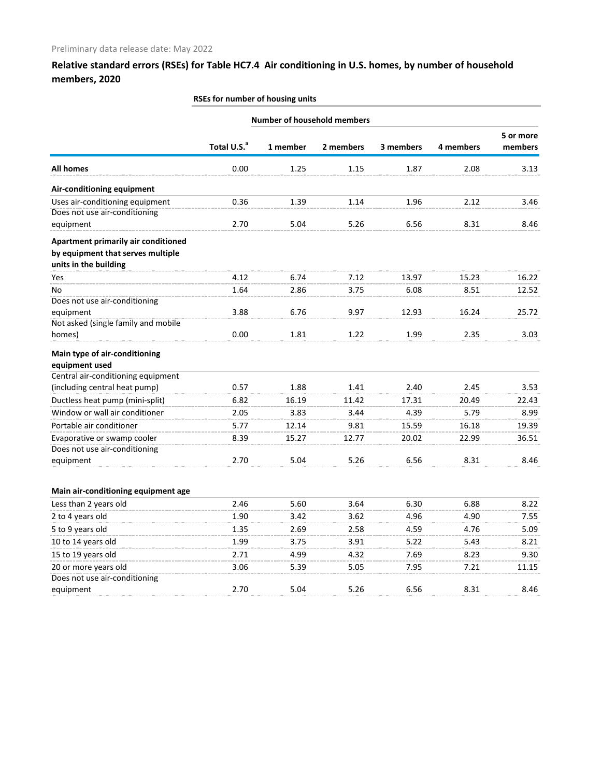|                                                                  |                         | <b>Number of household members</b> |           |           |           |                      |
|------------------------------------------------------------------|-------------------------|------------------------------------|-----------|-----------|-----------|----------------------|
|                                                                  | Total U.S. <sup>a</sup> | 1 member                           | 2 members | 3 members | 4 members | 5 or more<br>members |
| <b>All homes</b>                                                 | 0.00                    | 1.25                               | 1.15      | 1.87      | 2.08      | 3.13                 |
| Air-conditioning equipment                                       |                         |                                    |           |           |           |                      |
| Uses air-conditioning equipment<br>Does not use air-conditioning | 0.36                    | 1.39                               | 1.14      | 1.96      | 2.12      | 3.46                 |
| equipment                                                        | 2.70                    | 5.04                               | 5.26      | 6.56      | 8.31      | 8.46                 |
| Apartment primarily air conditioned                              |                         |                                    |           |           |           |                      |
| by equipment that serves multiple                                |                         |                                    |           |           |           |                      |
| units in the building                                            |                         |                                    |           |           |           |                      |
| Yes                                                              | 4.12                    | 6.74                               | 7.12      | 13.97     | 15.23     | 16.22                |
| No                                                               | 1.64                    | 2.86                               | 3.75      | 6.08      | 8.51      | 12.52                |
| Does not use air-conditioning                                    |                         |                                    |           |           |           |                      |
| equipment                                                        | 3.88                    | 6.76                               | 9.97      | 12.93     | 16.24     | 25.72                |
| Not asked (single family and mobile                              |                         |                                    |           |           |           |                      |
| homes)                                                           | 0.00                    | 1.81                               | 1.22      | 1.99      | 2.35      | 3.03                 |
| Main type of air-conditioning                                    |                         |                                    |           |           |           |                      |
| equipment used                                                   |                         |                                    |           |           |           |                      |
| Central air-conditioning equipment                               |                         |                                    |           |           |           |                      |
| (including central heat pump)                                    | 0.57                    | 1.88                               | 1.41      | 2.40      | 2.45      | 3.53                 |
| Ductless heat pump (mini-split)                                  | 6.82                    | 16.19                              | 11.42     | 17.31     | 20.49     | 22.43                |
| Window or wall air conditioner                                   | 2.05                    | 3.83                               | 3.44      | 4.39      | 5.79      | 8.99                 |
| Portable air conditioner                                         | 5.77                    | 12.14                              | 9.81      | 15.59     | 16.18     | 19.39                |
| Evaporative or swamp cooler                                      | 8.39                    | 15.27                              | 12.77     | 20.02     | 22.99     | 36.51                |
| Does not use air-conditioning                                    |                         |                                    |           |           |           |                      |
| equipment                                                        | 2.70                    | 5.04                               | 5.26      | 6.56      | 8.31      | 8.46                 |
| Main air-conditioning equipment age                              |                         |                                    |           |           |           |                      |
| Less than 2 years old                                            | 2.46                    | 5.60                               | 3.64      | 6.30      | 6.88      | 8.22                 |
| 2 to 4 years old                                                 | 1.90                    | 3.42                               | 3.62      | 4.96      | 4.90      | 7.55                 |
| 5 to 9 years old                                                 | 1.35                    | 2.69                               | 2.58      | 4.59      | 4.76      | 5.09                 |
| 10 to 14 years old                                               | 1.99                    | 3.75                               | 3.91      | 5.22      | 5.43      | 8.21                 |
| 15 to 19 years old                                               | 2.71                    | 4.99                               | 4.32      | 7.69      | 8.23      | 9.30                 |
| 20 or more years old                                             | 3.06                    | 5.39                               | 5.05      | 7.95      | 7.21      | 11.15                |
| Does not use air-conditioning                                    |                         |                                    |           |           |           |                      |
| equipment                                                        | 2.70                    | 5.04                               | 5.26      | 6.56      | 8.31      | 8.46                 |
|                                                                  |                         |                                    |           |           |           |                      |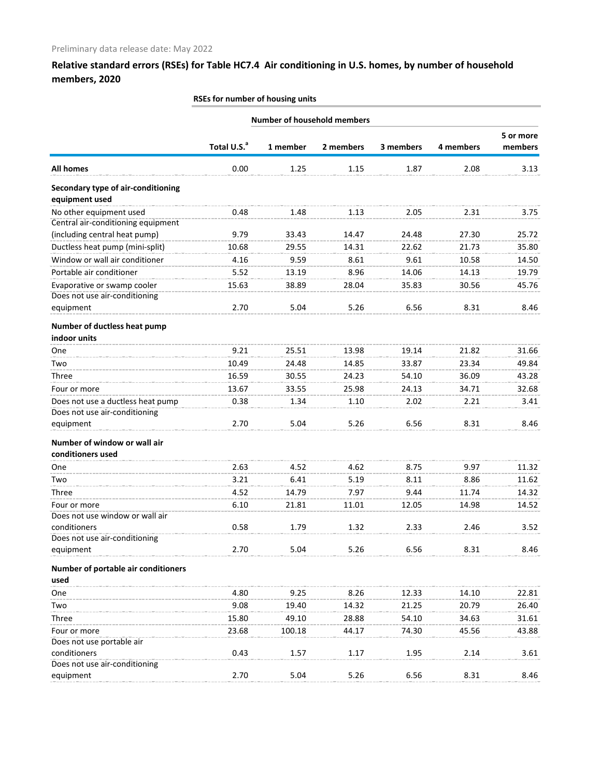| <b>Number of household members</b>                   |                         |          |           |           |           |           |
|------------------------------------------------------|-------------------------|----------|-----------|-----------|-----------|-----------|
|                                                      |                         |          |           |           |           | 5 or more |
|                                                      | Total U.S. <sup>a</sup> | 1 member | 2 members | 3 members | 4 members | members   |
| <b>All homes</b>                                     | 0.00                    | 1.25     | 1.15      | 1.87      | 2.08      | 3.13      |
| Secondary type of air-conditioning<br>equipment used |                         |          |           |           |           |           |
| No other equipment used                              | 0.48                    | 1.48     | 1.13      | 2.05      | 2.31      | 3.75      |
| Central air-conditioning equipment                   |                         |          |           |           |           |           |
| (including central heat pump)                        | 9.79                    | 33.43    | 14.47     | 24.48     | 27.30     | 25.72     |
| Ductless heat pump (mini-split)                      | 10.68                   | 29.55    | 14.31     | 22.62     | 21.73     | 35.80     |
| Window or wall air conditioner                       | 4.16                    | 9.59     | 8.61      | 9.61      | 10.58     | 14.50     |
| Portable air conditioner                             | 5.52                    | 13.19    | 8.96      | 14.06     | 14.13     | 19.79     |
| Evaporative or swamp cooler                          | 15.63                   | 38.89    | 28.04     | 35.83     | 30.56     | 45.76     |
| Does not use air-conditioning                        |                         |          |           |           |           |           |
| equipment                                            | 2.70                    | 5.04     | 5.26      | 6.56      | 8.31      | 8.46      |
| Number of ductless heat pump                         |                         |          |           |           |           |           |
| indoor units                                         |                         |          |           |           |           |           |
| One                                                  | 9.21                    | 25.51    | 13.98     | 19.14     | 21.82     | 31.66     |
| Two                                                  | 10.49                   | 24.48    | 14.85     | 33.87     | 23.34     | 49.84     |
| Three                                                | 16.59                   | 30.55    | 24.23     | 54.10     | 36.09     | 43.28     |
| Four or more                                         | 13.67                   | 33.55    | 25.98     | 24.13     | 34.71     | 32.68     |
| Does not use a ductless heat pump                    | 0.38                    | 1.34     | 1.10      | 2.02      | 2.21      | 3.41      |
| Does not use air-conditioning                        |                         |          |           |           |           |           |
| equipment                                            | 2.70                    | 5.04     | 5.26      | 6.56      | 8.31      | 8.46      |
| Number of window or wall air                         |                         |          |           |           |           |           |
| conditioners used                                    |                         |          |           |           |           |           |
| One                                                  | 2.63                    | 4.52     | 4.62      | 8.75      | 9.97      | 11.32     |
| Two                                                  | 3.21                    | 6.41     | 5.19      | 8.11      | 8.86      | 11.62     |
| Three                                                | 4.52                    | 14.79    | 7.97      | 9.44      | 11.74     | 14.32     |
| Four or more                                         | 6.10                    | 21.81    | 11.01     | 12.05     | 14.98     | 14.52     |
| Does not use window or wall air                      |                         |          |           |           |           |           |
| conditioners                                         | 0.58                    | 1.79     | 1.32      | 2.33      | 2.46      | 3.52      |
| Does not use air-conditioning                        |                         |          |           |           |           |           |
| equipment                                            | 2.70                    | 5.04     | 5.26      | 6.56      | 8.31      | 8.46      |
| Number of portable air conditioners                  |                         |          |           |           |           |           |
| used                                                 |                         |          |           |           |           |           |
| One                                                  | 4.80                    | 9.25     | 8.26      | 12.33     | 14.10     | 22.81     |
| Two                                                  | 9.08                    | 19.40    | 14.32     | 21.25     | 20.79     | 26.40     |
| Three                                                | 15.80                   | 49.10    | 28.88     | 54.10     | 34.63     | 31.61     |
| Four or more<br>Does not use portable air            | 23.68                   | 100.18   | 44.17     | 74.30     | 45.56     | 43.88     |
| conditioners                                         | 0.43                    | 1.57     | 1.17      | 1.95      | 2.14      | 3.61      |
| Does not use air-conditioning                        |                         |          |           |           |           |           |
| equipment                                            | 2.70                    | 5.04     | 5.26      | 6.56      | 8.31      | 8.46      |
|                                                      |                         |          |           |           |           |           |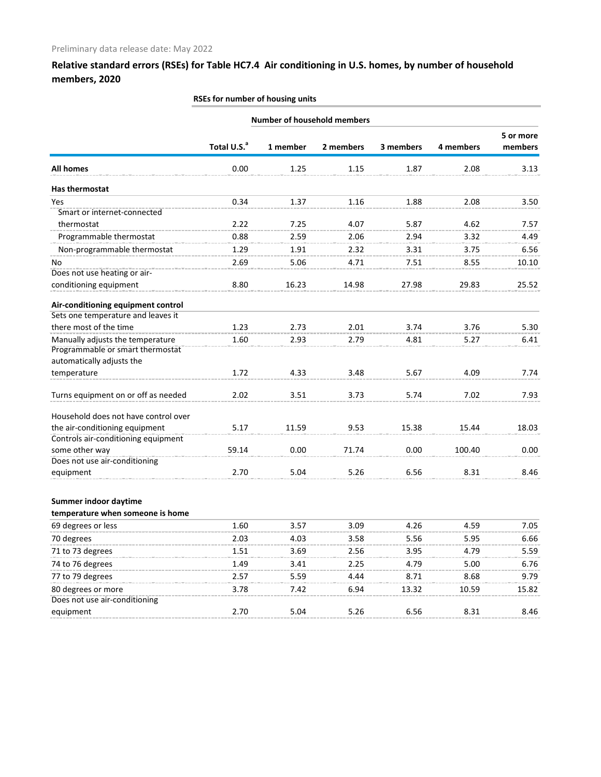Does not use air-conditioning

## **Relative standard errors (RSEs) for Table HC7.4 Air conditioning in U.S. homes, by number of household members, 2020**

# **Total U.S.a 1 member 2 members 3 members 4 members 5 or more members All homes** 0.00 1.25 1.15 1.87 2.08 3.13 **Number of household members Has thermostat** Yes 0.34 1.37 1.16 1.88 2.08 3.50 Smart or internet-connected thermostat 2.22 7.25 4.07 5.87 4.62 7.57 Programmable thermostat 0.88 2.59 2.06 2.94 3.32 4.49 Non-programmable thermostat 1.29 1.91 2.32 3.31 3.75 6.56 No 2.69 5.06 4.71 7.51 8.55 10.10 Does not use heating or airconditioning equipment 8.80 16.23 14.98 27.98 29.83 25.52 **Air-conditioning equipment control** Sets one temperature and leaves it there most of the time  $1.23$   $2.73$   $2.01$   $3.74$   $3.76$   $5.30$ Manually adjusts the temperature 1.60 2.93 2.79 4.81 5.27 6.41 Programmable or smart thermostat automatically adjusts the temperature 1.72 4.33 3.48 5.67 4.09 7.74 Turns equipment on or off as needed 2.02 3.51 3.73 5.74 7.02 7.93 Household does not have control over the air-conditioning equipment 5.17 11.59 9.53 15.38 15.44 18.03 Controls air-conditioning equipment some other way **59.14** 0.00 71.74 0.00 100.40 0.00 Does not use air-conditioning equipment 2.70 5.04 5.26 6.56 8.31 8.46 **Summer indoor daytime temperature when someone is home** 69 degrees or less 1.60 3.57 3.09 4.26 4.59 7.05 70 degrees 2.03 4.03 3.58 5.56 5.95 6.66 71 to 73 degrees 1.51 3.69 2.56 3.95 4.79 5.59 74 to 76 degrees 1.49 3.41 2.25 4.79 5.00 6.76 77 to 79 degrees 2.57 5.59 4.44 8.71 8.68 9.79

80 degrees or more **3.78** 7.42 6.94 13.32 10.59 15.82

equipment 2.70 5.04 5.26 6.56 8.31 8.46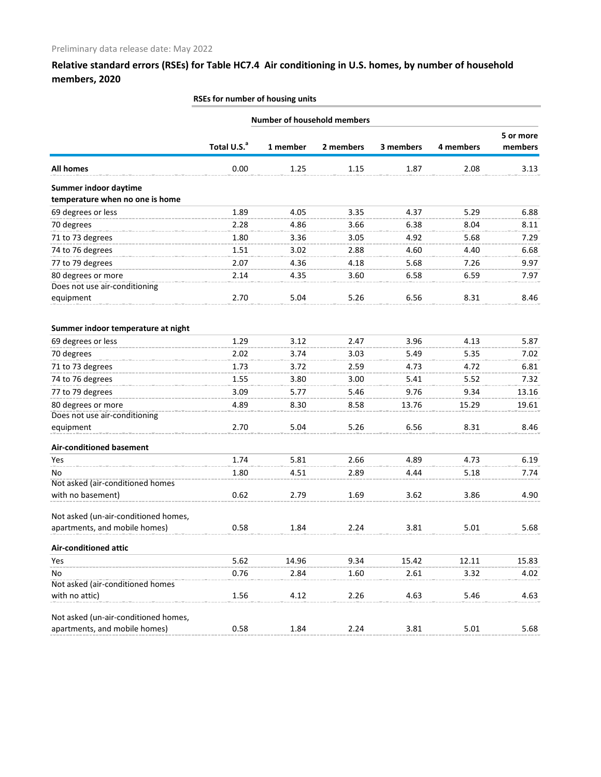|                                                          |                         | <b>Number of household members</b> |           |           |           |                      |
|----------------------------------------------------------|-------------------------|------------------------------------|-----------|-----------|-----------|----------------------|
|                                                          | Total U.S. <sup>a</sup> | 1 member                           | 2 members | 3 members | 4 members | 5 or more<br>members |
|                                                          |                         |                                    |           |           |           |                      |
| <b>All homes</b>                                         | 0.00                    | 1.25                               | 1.15      | 1.87      | 2.08      | 3.13                 |
| Summer indoor daytime<br>temperature when no one is home |                         |                                    |           |           |           |                      |
| 69 degrees or less                                       | 1.89                    | 4.05                               | 3.35      | 4.37      | 5.29      | 6.88                 |
| 70 degrees                                               | 2.28                    | 4.86                               | 3.66      | 6.38      | 8.04      | 8.11                 |
| 71 to 73 degrees                                         | 1.80                    | 3.36                               | 3.05      | 4.92      | 5.68      | 7.29                 |
| 74 to 76 degrees                                         | 1.51                    | 3.02                               | 2.88      | 4.60      | 4.40      | 6.68                 |
| 77 to 79 degrees                                         | 2.07                    | 4.36                               | 4.18      | 5.68      | 7.26      | 9.97                 |
| 80 degrees or more                                       | 2.14                    | 4.35                               | 3.60      | 6.58      | 6.59      | 7.97                 |
| Does not use air-conditioning                            |                         |                                    |           |           |           |                      |
| equipment                                                | 2.70                    | 5.04                               | 5.26      | 6.56      | 8.31      | 8.46                 |
| Summer indoor temperature at night                       |                         |                                    |           |           |           |                      |
| 69 degrees or less                                       | 1.29                    | 3.12                               | 2.47      | 3.96      | 4.13      | 5.87                 |
| 70 degrees                                               | 2.02                    | 3.74                               | 3.03      | 5.49      | 5.35      | 7.02                 |
| 71 to 73 degrees                                         | 1.73                    | 3.72                               | 2.59      | 4.73      | 4.72      | 6.81                 |
| 74 to 76 degrees                                         | 1.55                    | 3.80                               | 3.00      | 5.41      | 5.52      | 7.32                 |
| 77 to 79 degrees                                         | 3.09                    | 5.77                               | 5.46      | 9.76      | 9.34      | 13.16                |
| 80 degrees or more                                       | 4.89                    | 8.30                               | 8.58      | 13.76     | 15.29     | 19.61                |
| Does not use air-conditioning                            |                         |                                    |           |           |           |                      |
| equipment                                                | 2.70                    | 5.04                               | 5.26      | 6.56      | 8.31      | 8.46                 |
| <b>Air-conditioned basement</b>                          |                         |                                    |           |           |           |                      |
| Yes                                                      | 1.74                    | 5.81                               | 2.66      | 4.89      | 4.73      | 6.19                 |
| No                                                       | 1.80                    | 4.51                               | 2.89      | 4.44      | 5.18      | 7.74                 |
| Not asked (air-conditioned homes                         |                         |                                    |           |           |           |                      |
| with no basement)                                        | 0.62                    | 2.79                               | 1.69      | 3.62      | 3.86      | 4.90                 |
| Not asked (un-air-conditioned homes,                     |                         |                                    |           |           |           |                      |
| apartments, and mobile homes)                            | 0.58                    | 1.84                               | 2.24      | 3.81      | 5.01      | 5.68                 |
| <b>Air-conditioned attic</b>                             |                         |                                    |           |           |           |                      |
| Yes                                                      | 5.62                    | 14.96                              | 9.34      | 15.42     | 12.11     | 15.83                |
| No                                                       | 0.76                    | 2.84                               | 1.60      | 2.61      | 3.32      | 4.02                 |
| Not asked (air-conditioned homes                         |                         |                                    |           |           |           |                      |
| with no attic)                                           | 1.56                    | 4.12                               | 2.26      | 4.63      | 5.46      | 4.63                 |
| Not asked (un-air-conditioned homes,                     |                         |                                    |           |           |           |                      |
| apartments, and mobile homes)                            | 0.58                    | 1.84                               | 2.24      | 3.81      | 5.01      | 5.68                 |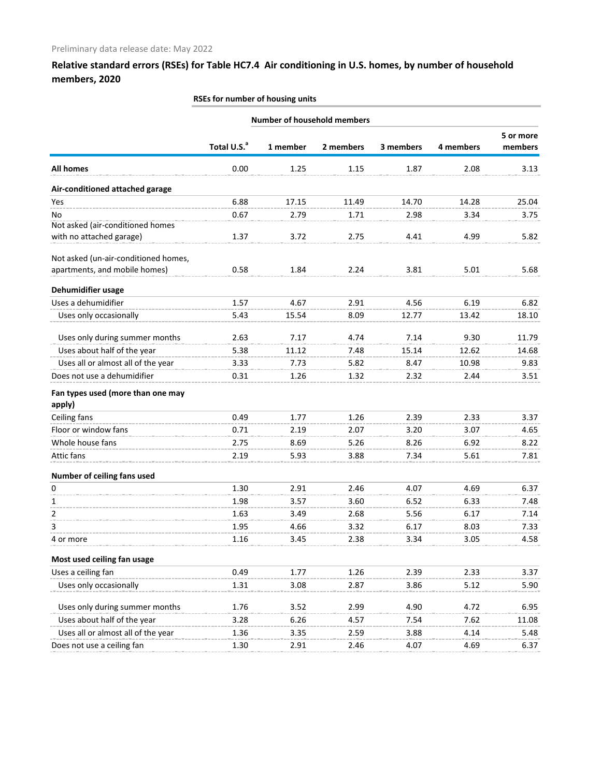# **Total U.S.a 1 member 2 members 3 members 4 members 5 or more members All homes** 0.00 1.25 1.15 1.87 2.08 3.13 **RSEs for number of housing units Number of household members Air-conditioned attached garage** Yes 6.88 17.15 11.49 14.70 14.28 25.04 No 0.67 2.79 1.71 2.98 3.34 3.75 Not asked (air-conditioned homes with no attached garage) 1.37 3.72 2.75 4.41 4.99 5.82 Not asked (un-air-conditioned homes, apartments, and mobile homes) 0.58 1.84 2.24 3.81 5.01 5.68 **Dehumidifier usage** Uses a dehumidifier  $1.57$   $4.67$   $2.91$   $4.56$   $6.19$   $6.82$ Uses only occasionally 5.43 15.54 8.09 12.77 13.42 18.10 Uses only during summer months  $2.63$  7.17  $4.74$  7.14 9.30 11.79 Uses about half of the year <br>5.38 11.12 11.48 15.14 12.62 14.68 Uses all or almost all of the year 3.33 7.73 5.82 8.47 10.98 9.83 Does not use a dehumidifier 0.31 1.26 1.32 2.32 2.44 3.51 **Fan types used (more than one may apply)** Ceiling fans 0.49 1.77 1.26 2.39 2.33 3.37 Floor or window fans 0.71 2.19 2.07 3.20 3.07 4.65 Whole house fans **2.75** 8.69 5.26 8.26 6.92 8.22 Attic fans 2.19 5.93 3.88 7.34 5.61 7.81 **Number of ceiling fans used** 0 1.30 2.91 2.46 4.07 4.69 6.37 1 1.98 3.57 3.60 6.52 6.33 7.48 2 1.63 3.49 2.68 5.56 6.17 7.14 3 1.95 4.66 3.32 6.17 8.03 7.33 4 or more 1.16 3.45 2.38 3.34 3.05 4.58 **Most used ceiling fan usage** Uses a ceiling fan **1.77** 1.26 2.39 2.33 3.37 Uses only occasionally **1.31** 3.08 2.87 3.86 5.12 5.90 Uses only during summer months  $1.76$  3.52 2.99 4.90 4.72 6.95 Uses about half of the year 3.28 6.26 4.57 7.54 7.62 11.08 Uses all or almost all of the year 1.36 3.35 2.59 3.88 4.14 5.48 Does not use a ceiling fan **1.30** 2.91 2.46 4.07 4.69 6.37